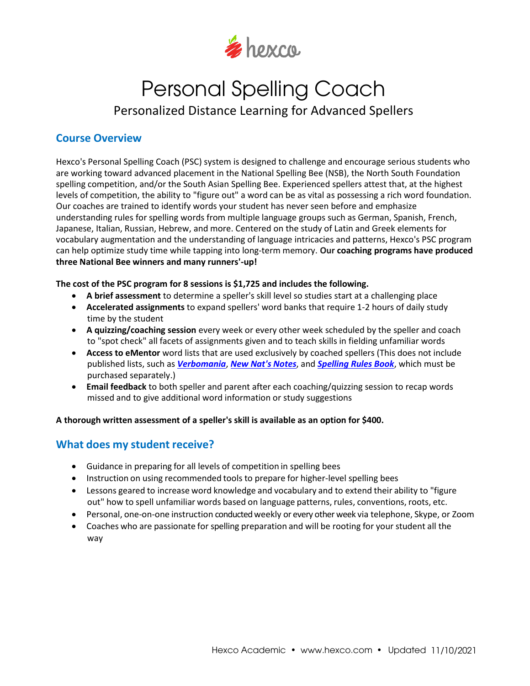

# Personal Spelling Coach Personalized Distance Learning for Advanced Spellers

# **Course Overview**

Hexco's Personal Spelling Coach (PSC) system is designed to challenge and encourage serious students who are working toward advanced placement in the National Spelling Bee (NSB), the North South Foundation spelling competition, and/or the South Asian Spelling Bee. Experienced spellers attest that, at the highest levels of competition, the ability to "figure out" a word can be as vital as possessing a rich word foundation. Our coaches are trained to identify words your student has never seen before and emphasize understanding rules for spelling words from multiple language groups such as German, Spanish, French, Japanese, Italian, Russian, Hebrew, and more. Centered on the study of Latin and Greek elements for vocabulary augmentation and the understanding of language intricacies and patterns, Hexco's PSC program can help optimize study time while tapping into long‐term memory. **Our coaching programs have produced three National Bee winners and many runners'-up!**

### **The cost of the PSC program for 8 sessions is \$1,725 and includes the following.**

- **A brief assessment** to determine a speller's skill level so studies start at a challenging place
- **Accelerated assignments** to expand spellers' word banks that require 1-2 hours of daily study time by the student
- **A quizzing/coaching session** every week or every other week scheduled by the speller and coach to "spot check" all facets of assignments given and to teach skills in fielding unfamiliar words
- **Access to eMentor** word lists that are used exclusively by coached spellers (This does not include published lists, such as *[Verbomania](https://www.hexco.com/verbomania/)*, *[New Nat's Notes](https://www.hexco.com/new-nats-notes/)*, and *[Spelling Rules Book](https://www.hexco.com/spelling-rules-book/)*, which must be purchased separately.)
- **Email feedback** to both speller and parent after each coaching/quizzing session to recap words missed and to give additional word information or study suggestions

### **A thorough written assessment of a speller's skill is available as an option for \$400.**

### **What does my student receive?**

- Guidance in preparing for all levels of competition in spelling bees
- Instruction on using recommended tools to prepare for higher-level spelling bees
- Lessons geared to increase word knowledge and vocabulary and to extend their ability to "figure out" how to spell unfamiliar words based on language patterns, rules, conventions, roots, etc.
- Personal, one‐on‐one instruction conducted weekly or every other week via telephone, Skype, or Zoom
- Coaches who are passionate for spelling preparation and will be rooting for your student all the way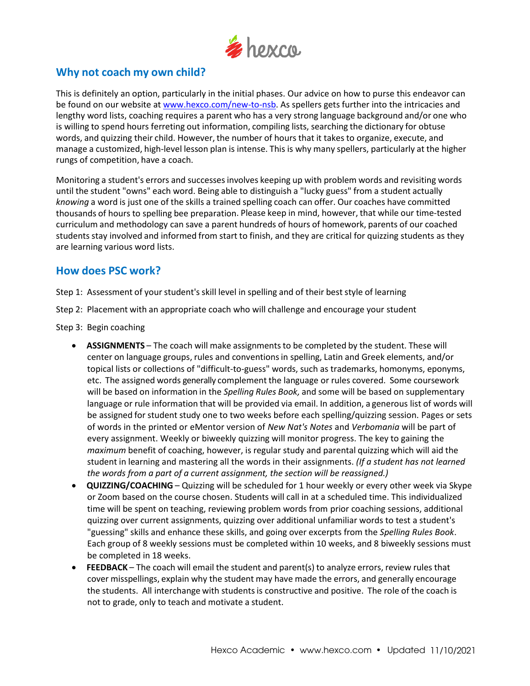

# **Why not coach my own child?**

This is definitely an option, particularly in the initial phases. Our advice on how to purse this endeavor can be found on our website at [www.hexco.com/new-to-nsb.](https://www.hexco.com/new-to-nsb/) As spellers gets further into the intricacies and lengthy word lists, coaching requires a parent who has a very strong language background and/or one who is willing to spend hours ferreting out information, compiling lists, searching the dictionary for obtuse words, and quizzing their child. However, the number of hours that it takes to organize, execute, and manage a customized, high‐level lesson plan is intense. This is why many spellers, particularly at the higher rungs of competition, have a coach.

Monitoring a student's errors and successesinvolves keeping up with problem words and revisiting words until the student "owns" each word. Being able to distinguish a "lucky guess" from a student actually *knowing* a word is just one of the skills a trained spelling coach can offer. Our coaches have committed thousands of hours to spelling bee preparation. Please keep in mind, however, that while our time‐tested curriculum and methodology can save a parent hundreds of hours of homework, parents of our coached students stay involved and informed from start to finish, and they are critical for quizzing students as they are learning various word lists.

### **How does PSC work?**

Step 1: Assessment of your student's skill level in spelling and of their best style of learning

Step 2: Placement with an appropriate coach who will challenge and encourage your student

- Step 3: Begin coaching
	- **ASSIGNMENTS** The coach will make assignmentsto be completed by the student. These will center on language groups, rules and conventionsin spelling, Latin and Greek elements, and/or topical lists or collections of "difficult-to-guess" words, such as trademarks, homonyms, eponyms, etc. The assigned words generally complement the language or rules covered. Some coursework will be based on information in the *Spelling Rules Book,* and some will be based on supplementary language or rule information that will be provided via email. In addition, a generous list of words will be assigned for student study one to two weeks before each spelling/quizzing session. Pages or sets of words in the printed or eMentor version of *New Nat's Notes* and *Verbomania* will be part of every assignment. Weekly or biweekly quizzing will monitor progress. The key to gaining the *maximum* benefit of coaching, however, is regular study and parental quizzing which will aid the student in learning and mastering all the words in their assignments. *(If a student has not learned the words from a part of a current assignment, the section will be reassigned.)*
	- **QUIZZING/COACHING** Quizzing will be scheduled for 1 hour weekly or every other week via Skype or Zoom based on the course chosen. Students will call in at a scheduled time. This individualized time will be spent on teaching, reviewing problem words from prior coaching sessions, additional quizzing over current assignments, quizzing over additional unfamiliar words to test a student's "guessing" skills and enhance these skills, and going over excerpts from the *Spelling Rules Book*. Each group of 8 weekly sessions must be completed within 10 weeks, and 8 biweekly sessions must be completed in 18 weeks.
	- **FEEDBACK** The coach will email the student and parent(s) to analyze errors, review rules that cover misspellings, explain why the student may have made the errors, and generally encourage the students. All interchange with studentsis constructive and positive. The role of the coach is not to grade, only to teach and motivate a student.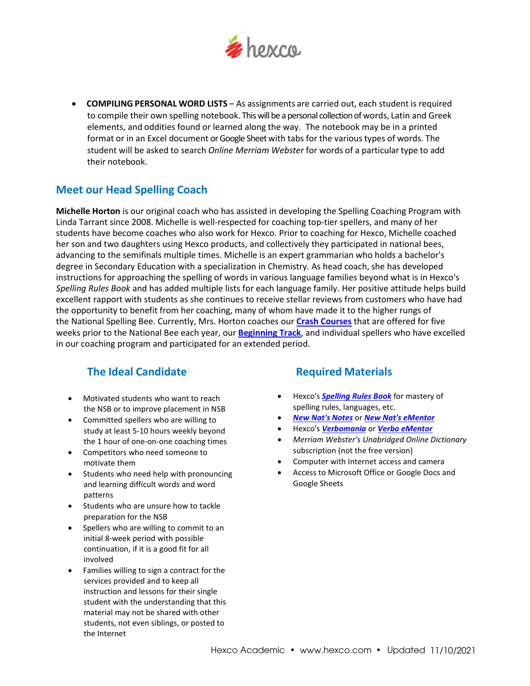

• **COMPILING PERSONAL WORD LISTS** – As assignments are carried out, each student is required to compile their own spelling notebook. This will be a personal collection of words, Latin and Greek elements, and oddities found or learned along the way. The notebook may be in a printed format or in an Excel document or Google Sheet with tabs for the various types of words. The student will be asked to search *Online Merriam Webster* for words of a particulartype to add their notebook.

# **Meet our Head Spelling Coach**

**Michelle Horton** is our original coach who has assisted in developing the Spelling Coaching Program with Linda Tarrant since 2008. Michelle is well-respected for coaching top-tier spellers, and many of her students have become coaches who also work for Hexco. Prior to coaching for Hexco, Michelle coached her son and two daughters using Hexco products, and collectively they participated in national bees, advancing to the semifinals multiple times. Michelle is an expert grammarian who holds a bachelor's degree in Secondary Education with a specialization in Chemistry. As head coach, she has developed instructions for approaching the spelling of words in various language families beyond what is in Hexco's *Spelling Rules Book* and has added multiple lists for each language family. Her positive attitude helps build excellent rapport with students as she continues to receive stellar reviews from customers who have had the opportunity to benefit from her coaching, many of whom have made it to the higher rungs of the National Spelling Bee. Currently, Mrs. Horton coaches our **[Crash Courses](https://www.hexco.com/spelling-crash-course/)** that are offered for five weeks prior to the National Bee each year, our **[Beginning Track](https://www.hexco.com/beginning-track/)**, and individual spellers who have excelled in our coaching program and participated for an extended period.

# **The Ideal Candidate Required Materials**

- Motivated students who want to reach the NSB or to improve placement in NSB
- Committed spellers who are willing to study at least 5‐10 hours weekly beyond the 1 hour of one‐on‐one coaching times
- Competitors who need someone to motivate them
- Students who need help with pronouncing and learning difficult words and word patterns
- Students who are unsure how to tackle preparation for the NSB
- Spellers who are willing to commit to an initial 8-week period with possible continuation, if it is a good fit for all involved
- Families willing to sign a contract for the services provided and to keep all instruction and lessons for their single student with the understanding that this material may not be shared with other students, not even siblings, or posted to the Internet

- Hexco's *Spelling [Rules Book](https://www.hexco.com/spelling-rules-book/)* for mastery of spelling rules, languages, etc.
- *New Nat's [Notes](https://www.hexco.com/new-nats-notes/)* or *[New Nat's eMentor](https://www.hexco.com/new-nats-notes-ementor/)*
- Hexco's *[Verbomania](https://www.hexco.com/verbomania/)* or *[Verbo eMentor](https://www.hexco.com/verbomania-ementor/)*
- *Merriam Webster's Unabridged Online Dictionary* subscription (not the free version)
- Computer with Internet access and camera
- Access to Microsoft Office or Google Docs and Google Sheets